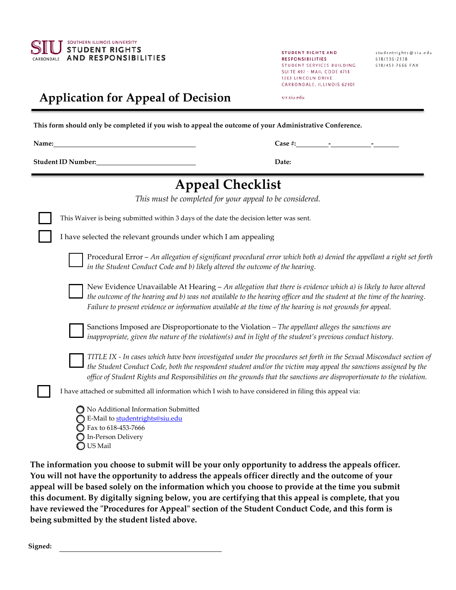

STUDENT RIGHTS AND **RESPONSIBILITIES** STUDENT SERVICES BUILDING 618/453-7666 FAX SUITE 497 - MAIL CODE 4718 1263 LINCOLN DRIVE CARBONDALE, ILLINOIS 62901

studentrights@siu.edu 618/536-2338

## srr.siu.edu

**Application for Appeal of Decision**

**This form should only be completed if you wish to appeal the outcome of your Administrative Conference.** 

**Name:** Case #:  $\qquad \qquad$  -

**Student ID Number: Date:**

| <b>Appeal Checklist</b>                                                                                                                                                                                                                                                                                                                                           |
|-------------------------------------------------------------------------------------------------------------------------------------------------------------------------------------------------------------------------------------------------------------------------------------------------------------------------------------------------------------------|
| This must be completed for your appeal to be considered.                                                                                                                                                                                                                                                                                                          |
| This Waiver is being submitted within 3 days of the date the decision letter was sent.                                                                                                                                                                                                                                                                            |
| I have selected the relevant grounds under which I am appealing                                                                                                                                                                                                                                                                                                   |
| Procedural Error - An allegation of significant procedural error which both a) denied the appellant a right set forth<br>in the Student Conduct Code and b) likely altered the outcome of the hearing.                                                                                                                                                            |
| New Evidence Unavailable At Hearing - An allegation that there is evidence which a) is likely to have altered<br>the outcome of the hearing and b) was not available to the hearing officer and the student at the time of the hearing.<br>Failure to present evidence or information available at the time of the hearing is not grounds for appeal.             |
| Sanctions Imposed are Disproportionate to the Violation - The appellant alleges the sanctions are<br>inappropriate, given the nature of the violation(s) and in light of the student's previous conduct history.                                                                                                                                                  |
| TITLE IX - In cases which have been investigated under the procedures set forth in the Sexual Misconduct section of<br>the Student Conduct Code, both the respondent student and/or the victim may appeal the sanctions assigned by the<br>office of Student Rights and Responsibilities on the grounds that the sanctions are disproportionate to the violation. |
| I have attached or submitted all information which I wish to have considered in filing this appeal via:                                                                                                                                                                                                                                                           |
| No Additional Information Submitted<br>E-Mail to studentrights@siu.edu<br>Fax to 618-453-7666<br>In-Person Delivery                                                                                                                                                                                                                                               |

US Mail

**The information you choose to submit will be your only opportunity to address the appeals officer. You will not have the opportunity to address the appeals officer directly and the outcome of your appeal will be based solely on the information which you choose to provide at the time you submit this document. By digitally signing below, you are certifying that this appeal is complete, that you have reviewed the "Procedures for Appeal" section of the Student Conduct Code, and this form is being submitted by the student listed above.** 

**Signed:**